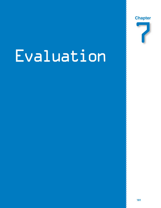

# Evaluation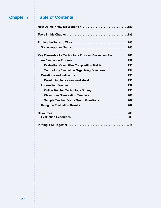## **Table of Contents Chapter 7**

| How Do We Know It's Working? 183                         |
|----------------------------------------------------------|
|                                                          |
|                                                          |
|                                                          |
| Key Elements of a Technology Program Evaluation Plan 188 |
|                                                          |
| <b>Evaluation Committee Composition Matrix 193</b>       |
| Technology Evaluation Organizing Questions 194           |
|                                                          |
| Developing Indicators Worksheet 196                      |
|                                                          |
| Online Teacher Technology Survey 198                     |
| Classroom Observation Template 201                       |
| Sample Teacher Focus Group Questions 202                 |
| Using the Evaluation Results 207                         |
|                                                          |
|                                                          |
|                                                          |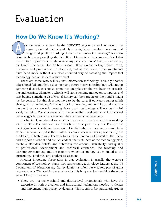# Evaluation

## **How Do We Know It's Working?**

s we look at schools in the SEIR◆TEC region, as well as around the country, we find that increasingly parents, board members, teachers, and the general public are asking "How do we know it's working?" Is educational technology providing the benefit and impacts at the classroom level that live up to the promise it holds in so many people's minds? Everywhere we go, the logic is the same. Districts have spent millions on technology infrastructure, materials, and professional development, but all too often, these investments have been made without any clearly framed way of assessing the impact that technology has on student achievement. A

There are some who will say that information technology is simply another educational fad, and that, just as so many things before it, technology will end up gathering dust while schools continue to grapple with the real business of teaching and learning. Ultimately, schools will stop spending money on computers and start buying something else. Well, if history can be a predictor, the pundits might just be correct. But this does not have to be the case. If educators can establish clear goals for technology's use as a tool for teaching and learning, and measure the performance towards meeting those goals, technology will not be funded solely on faith. The challenge is to create realistic evaluations of instructional technology's impact on students and their academic achievements.

In Chapter 1, we shared some of the lessons we have learned from working with the SEIR◆TEC intensive site schools over the past few years. Perhaps the most significant insight we have gained is that when we see improvements in student achievement, it is the result of a combination of factors, not merely the availability of technology. These factors include, but are not limited to: the vision and support of school and district leaders; the usefulness of the technology plan; teachers' attitudes, beliefs, and behaviors; the amount, availability, and quality of professional development and technical assistance; the teaching and learning environment; and the extent to which technology use is linked to the curriculum, standards, and student assessment.

Another important observation is that evaluation is usually the weakest component of technology plans. Not surprisingly, technology leaders at the US Department of Education say that evaluation is often the weakest part of grant proposals, too. We don't know exactly why this happens, but we think there are several factors involved:

**•** There are not many school and district-level professionals who have the expertise in both evaluation and instructional technology needed to design and implement high-quality evaluations. This seems to be particularly true in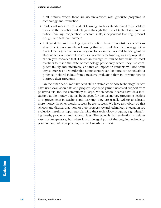rural districts where there are no universities with graduate programs in technology and evaluation.

- **•** Traditional measures of student learning, such as standardized tests, seldom measure the benefits students gain through the use of technology, such as critical thinking, cooperation, research skills, independent learning, product design, and task commitment.
- **•** Policymakers and funding agencies often have unrealistic expectations about the improvements in learning that will result from technology initiatives. One legislature in our region, for example, wanted to see gains in student achievement-test scores six months after funding was appropriated. When you consider that it takes an average of four to five years for most teachers to reach the state of technology proficiency where they use computers fluidly and effectively, and that an impact on students will not occur any sooner, it's no wonder that administrators can be more concerned about potential political fallout from a negative evaluation than in learning how to improve their programs.

On the other hand, we have seen stellar examples of how technology leaders have used evaluation data and progress reports to garner increased support from policymakers and the community at large. When school boards have data indicating that the money that has been spent for the technology program is leading to improvements in teaching and learning, they are usually willing to allocate more money. In other words, success begets success. We have also observed that schools and districts that monitor their progress toward technology integration see evaluation results as input into planning their technology program, e.g., identifying needs, problems, and opportunities. The point is that evaluation is neither easy nor inexpensive, but when it is an integral part of the ongoing technology planning and infusion process, it is well worth the effort.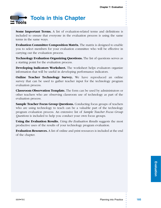## **Tools in this Chapter** <u>s – J</u> THE TOOIS

**Some Important Terms.** A list of evaluation-related terms and definitions is included to ensure that everyone in the evaluation process is using the same terms in the same ways.

**Evaluation Committee Composition Matrix.** The matrix is designed to enable you to select members for your evaluation committee who will be effective in carrying out the evaluation process.

**Technology Evaluation Organizing Questions.** The list of questions serves as a starting point for the evaluation process.

**Developing Indicators Worksheet.** The worksheet helps evaluators organize information that will be useful in developing performance indicators.

**Online Teacher Technology Survey.** We have reproduced an online survey that can be used to gather teacher input for the technology program evaluation process.

**Classroom Observation Template.** The form can be used by administrators or other teachers who are observing classroom use of technology as part of the evaluation process.

**Sample Teacher Focus Group Questions.** Conducting focus groups of teachers who are using technology to teach can be a valuable part of the technology program evaluation process. An extensive list of *Sample Teacher Focus Group Questions* is included to help you conduct your own focus groups.

**Using the Evaluation Results.** *Using the Evaluation Results* suggests the most productive uses of the results of your technology program evaluation.

**Evaluation Resources.** A list of online and print resources is included at the end of the chapter.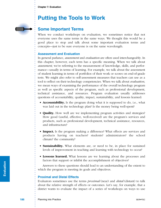## **Putting the Tools to Work**



## **Some Important Terms**

When we conduct workshops on evaluation, we sometimes notice that not everyone uses the same terms in the same ways. We thought this would be a good place to stop and talk about some important evaluation terms and concepts—just to be sure everyone is on the same wavelength.

## **Assessment and Evaluation**

In general parlance, *assessment* and *evaluation* are often used interchangeably. In this chapter, however, each term has a specific meaning. When we talk about *assessment,* we're referring to the measurement of knowledge, skills, and performance—usually in terms of learning. For example, we talk about the assessment of student learning in terms of portfolios of their work or scores on end-of-grade tests. We might also refer to self-assessment measures that teachers can use as a tool to reflect on their technology competencies. When we talk about *evaluation,* we mean ways of examining the performance of the overall technology program as well as specific aspects of the program, such as professional development, technical assistance, and resources. Program evaluation usually addresses questions of accountability, quality, impact, sustainability, and lessons learned:

- **Accountability.** Is the program doing what it is supposed to do, i.e., what was laid out in the technology plan? Is the money being well-spent?
- **Quality.** How well are we implementing program activities and strategies? How good (useful, effective, well-received) are the program's services and products, such as professional development, technical assistance, resources, and infrastructure?
- **Impact.** Is the program making a difference? What effects are services and products having on teachers? students? administrators? the school climate? the community?
- **Sustainability.** What elements are, or need to be, in place for sustained levels of improvement in teaching and learning with technology to occur?
- **Lessons learned.** What lessons are we learning about the processes and factors that support or inhibit the accomplishment of objectives?

Answers to these questions should lead to an understanding of the extent to which the program is meeting its goals and objectives.

## **Proximal and Distal Effects**

Evaluators sometimes use the terms *proximal* (near) and *distal* (distant) to talk about the relative strength of effects or outcomes. Let's say, for example, that a district wants to evaluate the impact of a series of workshops on ways to use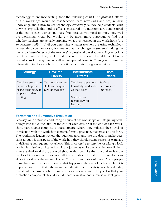technology to enhance writing. (See the following chart.) The *proximal* effects of the workshops would be that teachers learn new skills and acquire new knowledge about how to use technology effectively as they help students learn to write. Typically this kind of effect is measured by a questionnaire administered at the end of each workshop. That's fine, because you need to know how well the workshops went, but wouldn't it be much more important to find out whether teachers are actually applying what they learned in the workshops (the *intermediate effect*)? Until you determine whether teachers are using technology as intended, you cannot say for certain that any changes in students' writing are the result (*distal* effect) of the teachers' professional development. If you look at proximal, intermediate, and distal effects, you should be able to identify breakdowns in the system as well as unexpected benefits. Then you can use the information to decide whether to continue or revise program activities.

| <b>Strategy</b>                                                                                 | <b>Proximal</b>                                            | <b>Intermediate</b>                                                                                         | <b>Distal</b>                       |
|-------------------------------------------------------------------------------------------------|------------------------------------------------------------|-------------------------------------------------------------------------------------------------------------|-------------------------------------|
|                                                                                                 | <b>Effects</b>                                             | <b>Effects</b>                                                                                              | <b>Effects</b>                      |
| Teachers participate<br>in workshops on<br>using technology to<br>support students'<br>writing. | Teachers learn new<br>skills and acquire<br>new knowledge. | Teachers apply new<br>knowledge and skills<br>as they teach.<br>Students use<br>technology for<br>learning. | Student<br>performance<br>improves. |

## **Formative and Summative Evaluation**

Let's say your district is conducting a series of six workshops on integrating technology into the curriculum. At the end of each day, or at the end of each workshop, participants complete a questionnaire where they indicate their level of satisfaction with the workshop content, format, presenter, materials, and so forth. The workshop leaders review the questionnaires and use the data to make decisions about which aspects of the workshop they should retain, revise, or eliminate in delivering subsequent workshops. This is *formative evaluation,* or taking a look at what is or isn't working and making adjustments while the activities are still fluid. After the final workshop, the workshop leaders compile the data and review the results of the questionnaires from all the workshops in order to make decisions about the value of the entire initiative. This is *summative evaluation.* Many people think that summative evaluation is what happens at the end of each year, but it is important to realize that it the nature and duration of the activity, not the calendar, that should determine when summative evaluation occurs. The point is that your evaluation component should include both formative and summative strategies.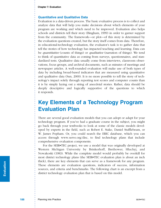#### **Quantitative and Qualitative Data**

Evaluation is a data-driven process. The basic evaluative process is to collect and analyze data that will help you make decisions about which elements of your program are working and which need to be improved. Evaluation also helps schools and districts tell their story (Bingham, 1999) in order to garner support from the community. The framework—or plot—of this story is determined by the evaluation questions created, but the story itself comes from data. Therefore, in educational-technology evaluation, the evaluator's task is to gather data that tell the stories of how technology has impacted teaching and learning. Data can be *quantitative* (counts of things) or *qualitative* (narration of things). We tend to think of quantitative data as coming from surveys, questionnaires, and standardized tests. Qualitative data usually come from interviews, classroom observations, focus groups, and archival documents, such as minutes of meetings and newspaper articles. A well-rounded evaluation will make use of both types of data by including broad-based indicators that are measured using quantitative and qualitative data (Sun, 2000). It is no more possible to tell the story of technology's impact solely through reporting test scores and computer counts than it is by simply laying out a string of anecdotal stories. Rather, data should be deeply descriptive and logically supportive of the questions to which it responds.

## **Key Elements of a Technology Program Evaluation Plan**

There are several good evaluation models that you can adopt or adapt for your technology program. If you've had a graduate course in the subject, you might go back through your textbooks to look at some of the classic models developed by experts in the field, such as Robert E. Stake, Daniel Stufflebeam, or W. James Popham. Or, you could search the ERIC database, which you can access through www.serve.org/disc, to find technology plans that include comprehensive evaluation components.

For the SEIR◆TEC project, we use a model that was originally developed at Western Michigan University by Brinkerhoff, Brethower, Hluchyj, and Nowakoski (1983). While the complete model would probably be overkill for most district technology plans (the SEIR◆TEC evaluation plan is about an inch thick), there are key elements that can serve as a framework for any program. These elements are evaluation questions, indicators of success, information sources, and criteria and benchmarks. The following chart is an excerpt from a district technology evaluation plan that is based on this model.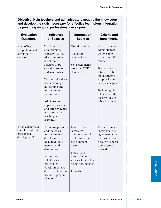Ċ ć

**Objective: Help teachers and administrators acquire the knowledge and develop the skills necessary for effective technology integration by providing ongoing professional development**

| <b>Evaluation</b><br><b>Questions</b>                                  | <b>Indicators</b><br>of Success                                                                                                                                                                                                                                                                                                                                      | <b>Information</b><br><b>Sources</b>                                                                                                                                                  | <b>Criteria and</b><br><b>Benchmarks</b>                                                                                                                                                                                                                         |
|------------------------------------------------------------------------|----------------------------------------------------------------------------------------------------------------------------------------------------------------------------------------------------------------------------------------------------------------------------------------------------------------------------------------------------------------------|---------------------------------------------------------------------------------------------------------------------------------------------------------------------------------------|------------------------------------------------------------------------------------------------------------------------------------------------------------------------------------------------------------------------------------------------------------------|
| How effective<br>are professional<br>development<br>services?          | Teachers and<br>administrators<br>consider the dis-<br>trict's professional<br>development<br>services to be<br>effective, useful,<br>and worthwhile.<br>Teachers effectively<br>use technology<br>in teaching and<br>for professional<br>productivity.<br>Administrators<br>support, promote,<br>and effectively use<br>technology for<br>teaching and<br>learning. | Questionnaires<br>Classroom<br>observations<br>Self-assessments<br>based on ISTE<br>standards                                                                                         | All teachers and<br>administrators<br>demonstrate<br>mastery of ISTE<br>standards.<br>Teachers are<br>satisfied with<br>administrators'<br>support for tech-<br>nology integration.<br>Technology is<br>infused into the<br>majority of the<br>schools' courses. |
| What lessons have<br>been learned from<br>professional<br>development? | Promising practices<br>and materials<br>for professional<br>development are<br>identified, docu-<br>mented, and<br>disseminated.<br>Barriers and<br>solutions to<br>professional<br>development are<br>described in terms<br>useful to program<br>planners.                                                                                                          | Formative and<br>summative<br>questionnaires for<br>each professional<br>development<br>event<br>Formal and<br>informal inter-<br>views with teacher<br>teams and mentors<br>Journals | The technology<br>committee is in<br>agreement about<br>the positive and<br>negative aspects<br>of the lessons<br>learned.                                                                                                                                       |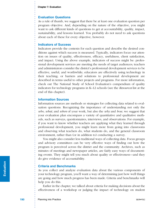#### **Evaluation Questions**

As a rule of thumb, we suggest that there be at least one evaluation question per program objective. And, depending on the nature of the objective, you might want to ask different kinds of questions to get at accountability, quality, impact, sustainability, and lessons learned. You probably do not need to ask questions about each of these for every objective, however.

## **Indicators of Success**

Indicators provide the contexts for each question and describe the desired conditions against which success is measured. Typically, indicators focus our attention on issues of quality, effectiveness, efficacy, usefulness, client satisfaction, and impact. Using the above example, indicators of success might be: professional development services are meeting the needs of target audiences; teachers and administrators consider the district's professional development services to be effective, useful, and worthwhile; educators are effectively using technology in their teaching; or barriers and solutions to professional development are described in terms useful to other projects and programs. For more information, check out The National Study of School Evaluation's compendium of quality indicators for technology programs in K–12 schools (see the *Resources* list at the end of this chapter).

### **Information Sources**

Information sources are methods or strategies for collecting data related to evaluation questions. Recognizing the importance of understanding not only the *who, what,* and *when* of your work, but also the *why* and *how,* we suggest that your evaluation plan encompass a variety of quantitative and qualitative methods, such as surveys, questionnaires, interviews, and observations. For example, if you want to know whether teachers are applying what they learned through professional development, you might learn more from going into classrooms and observing what teachers do, what students do, and the general classroom environment, rather than (or in addition to) conducting a survey.

You might also consider less traditional ways of collecting data. Focus groups and advisory committees can be very effective ways of finding out how the program is perceived across the district and the community. Archives, such as minutes of meetings and newspaper articles, are fairly easy ways of documenting events. They might tell you much about quality or effectiveness—and they do give evidence of accountability.

## **Criteria and Benchmarks**

As you collect and analyze evaluation data about the various components of your technology program, you'll want a way of determining just how well things are going and how much progress has been made. Criteria and benchmarks will help you do this.

Earlier in the chapter, we talked about criteria for making decisions about the effectiveness of a workshop or judging the impact of technology on student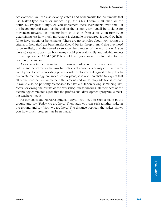achievement. You can also develop criteria and benchmarks for instruments that use Likkert-type scales or rubrics, e.g., the CEO Forum STaR chart or the SEIR◆TEC Progress Gauge. As you implement these instruments over time—at the beginning and again at the end of the school year—you'll be looking for movement forward, i.e., moving from 1s to 2s or from 2s to 3s on rubrics. In determining just how much movement is desirable or required, it would be helpful to have criteria or benchmarks. There are no set rules about how strong the criteria or how rigid the benchmarks should be; just keep in mind that they need to be realistic, and they need to support the integrity of the evaluation. If you have 40 sets of rubrics, on how many could you realistically and reliably expect to see improvement? Half? 30? This would be a good topic for discussion for the planning committee.

As we saw in the evaluation plan sample earlier in the chapter, you can use criteria and benchmarks that involve notions of consensus or majority. For example, if your district is providing professional development designed to help teachers create technology-enhanced lesson plans, it is not unrealistic to expect that all of the teachers will implement the lessons and/or develop additional lessons. It would also be perfectly reasonable to have a criterion saying something like, "After reviewing the results of the workshop questionnaires, all members of the technology committee agree that the professional development program is meeting teachers' needs."

As our colleague Margaret Bingham says, "You need to stick a stake in the ground and say 'Today we are here.' Then later, you can stick another stake in the ground and say 'Now we are here.' The distance between the stakes shows you how much progress has been made."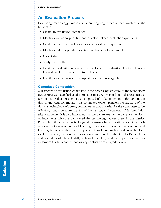## **An Evaluation Process**

Evaluating technology initiatives is an ongoing process that involves eight basic steps:

- **•** Create an evaluation committee.
- **•** Identify evaluation priorities and develop related evaluation questions.
- **•** Create performance indicators for each evaluation question.
- **•** Identify or develop data collection methods and instruments.
- **•** Collect data.
- **•** Study the results.
- **•** Create an evaluation report on the results of the evaluation, findings, lessons learned, and directions for future efforts.
- **•** Use the evaluation results to update your technology plan.

## **Committee Composition**

A district-wide evaluation committee is the organizing structure of the technology evaluations we have facilitated in most districts. As an initial step, districts create a technology evaluation committee composed of stakeholders from throughout the district and local community. This committee closely parallels the structure of the district's technology *planning* committee in that in order for the committee to be effective, it must be representative of the interests and concerns of the broad district community. It is also important that the committee *not* be composed entirely of individuals who are considered the technology power users in the district. Remember, the evaluation is designed to answer basic questions about technology's impact on teaching and learning. Therefore, experience in teaching and learning is considerably more important than being well-versed in technology itself. In general, the committees we work with number about 12 to 15 members and include district-level staff, a board member, and principals, as well as classroom teachers and technology specialists from all grade levels.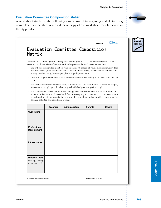## **Evaluation Committee Composition Matrix**

A worksheet similar to the following can be useful in assigning and delineating committee membership. A reproducible copy of the worksheet may be found in the Appendix.

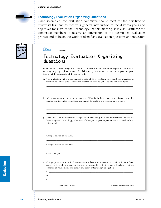**GEIR**STEC



## **Technology Evaluation Organizing Questions**

Once assembled, the evaluation committee should meet for the first time to review its task and to receive a general introduction to the district's goals and objectives for instructional technology. At this meeting, it is also useful for the committee members to receive an orientation to the technology evaluation process and to begin the work of identifying evaluation questions and indicators



| When thinking about program evaluation, it is useful to consider some organizing questions.<br>Working in groups, please answer the following questions. Be prepared to report out your<br>answers at the conclusion of the group work. |
|-----------------------------------------------------------------------------------------------------------------------------------------------------------------------------------------------------------------------------------------|
| 1. This evaluation will evaluate various aspects of how well technology has been integrated in<br>your schools and district. What does <i>integration</i> mean to you? Provide some examples.                                           |
| 2. All programs must have a driving purpose. What is the best reason your district has imple-<br>mented and integrated technology as a part of its teaching and learning environment?                                                   |
|                                                                                                                                                                                                                                         |

Changes related to teachers?

Changes related to students?

Other changes?

4. Change produces results. Evaluation measures those results against expectations. Identify three aspects of technology integration that can be measured in order to evaluate the change that has occurred in your schools and district as a result of technology integration.

a.  $\frac{1}{2}$  .  $\frac{1}{2}$  .  $\frac{1}{2}$  .  $\frac{1}{2}$  .  $\frac{1}{2}$  .  $\frac{1}{2}$  .  $\frac{1}{2}$  .  $\frac{1}{2}$  .  $\frac{1}{2}$  .  $\frac{1}{2}$  .  $\frac{1}{2}$  .  $\frac{1}{2}$  .  $\frac{1}{2}$  .  $\frac{1}{2}$  .  $\frac{1}{2}$  .  $\frac{1}{2}$  .  $\frac{1}{2}$  .  $\frac{1}{2}$  .  $\$ b. \_\_\_\_\_\_\_\_\_\_\_\_\_\_\_\_\_\_\_\_\_\_\_\_\_\_\_\_\_\_\_\_\_\_\_\_\_\_\_\_\_\_\_\_\_\_\_\_\_\_\_\_\_\_\_\_\_\_\_\_\_\_\_\_\_\_\_\_\_\_\_\_\_\_\_\_\_\_\_\_  $c.$   $-$ 

\_\_\_\_\_\_\_\_\_\_\_\_\_\_\_\_\_\_\_\_\_\_\_\_\_\_\_\_\_\_\_\_\_\_\_\_\_\_\_\_\_\_\_\_\_\_\_\_\_\_\_\_\_\_\_\_\_\_\_\_\_\_\_\_\_\_\_\_\_\_\_\_\_\_\_\_\_\_\_\_\_\_

\_\_\_\_\_\_\_\_\_\_\_\_\_\_\_\_\_\_\_\_\_\_\_\_\_\_\_\_\_\_\_\_\_\_\_\_\_\_\_\_\_\_\_\_\_\_\_\_\_\_\_\_\_\_\_\_\_\_\_\_\_\_\_\_\_\_\_\_\_\_\_\_\_\_\_\_\_\_\_\_\_\_

\_\_\_\_\_\_\_\_\_\_\_\_\_\_\_\_\_\_\_\_\_\_\_\_\_\_\_\_\_\_\_\_\_\_\_\_\_\_\_\_\_\_\_\_\_\_\_\_\_\_\_\_\_\_\_\_\_\_\_\_\_\_\_\_\_\_\_\_\_\_\_\_\_\_\_\_\_\_\_\_\_\_

**266** Planning into Practice **Constanting into Practice Constanting into Practice Constanting into Practice Constanting into Practice Constanting into Practice Constanting into Practice Constanting into Practice Constantin**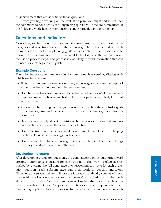of achievement that are specific to those questions.

Before you begin working on the evaluation plan, you might find it useful for the committee to consider a set of organizing questions. These are summarized in the following worksheet. A reproducible copy is provided in the Appendix.

## **Questions and Indicators**

Most often, we have found that a committee may base evaluation questions on the goals and objectives laid out in the technology plan. This method of developing questions rooted in planning goals addresses the district's basic need to know if it is meeting goals for instructional technology and the various implementation process steps. The process is also likely to yield information that can be used for a strategic-plan update.

## **Example Questions**

The following are some sample evaluation questions developed by districts with which we have worked:

- **•** To what extent are our teachers utilizing technology to increase the depth of student understanding and learning engagement?
- **•** How have students been impacted by technology integration? Has technology improved student achievement, had no impact, or perhaps negatively impacted achievement?
- **•** Are our teachers using technology in ways that match both our district goals for technology use and the potential that exists for technology as an instructional aid?
- **•** Have we adequately allocated district technology resources so that students and teachers can realize the resources' potential?
- **•** How effective has our professional development model been in helping teachers attain basic technology proficiency?
- **•** How effective have basic technology skills been in helping teachers do things that they could not have done otherwise?

#### **Developing Indicators**

After developing evaluation questions, the committee's work should turn toward creating performance indicators for each question. This work is often accomplished by dividing the full committee into subcommittees—one for each evaluation question. Each subcommittee can then work to develop indicators. Ultimately, the subcommittees will use the indicators to identify sources of information (data collection methods and instruments) and criteria for making decisions, such as rubrics. Each subcommittee will review the work of each of the other two subcommittees. The product of this review is subsequently fed back into each group's development process. In this way every committee member is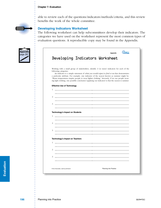#### **Chapter 7: Evaluation**

able to review each of the questions/indicators/methods/criteria, and this review benefits the work of the whole committee.



**Appendix** page 267

## **Developing Indicators Worksheet**

The following worksheet can help subcommittees develop their indicators. The categories we have used on the worksheet represent the most common types of evaluation questions. A reproducible copy may be found in the Appendix.

|                                        | Developing Indicators Worksheet                                                                                                                                                                                                                                                                                        |
|----------------------------------------|------------------------------------------------------------------------------------------------------------------------------------------------------------------------------------------------------------------------------------------------------------------------------------------------------------------------|
|                                        |                                                                                                                                                                                                                                                                                                                        |
|                                        |                                                                                                                                                                                                                                                                                                                        |
| following categories.                  | Working with a small group of stakeholders, identify 3 (or more) indicators for each of the                                                                                                                                                                                                                            |
|                                        | An indicator is a simple statement of what you would expect to find or see that demonstrates<br>a particular attribute. For example, one indicator of the season known as summer might be:                                                                                                                             |
|                                        | "Warm temperatures inspire people to wear lighter clothing." Inversely, if we see people wear-                                                                                                                                                                                                                         |
|                                        | ing light clothing, one possible conclusion (applying our indicator) is that the season is summer.                                                                                                                                                                                                                     |
| <b>Effective Use of Technology</b>     |                                                                                                                                                                                                                                                                                                                        |
|                                        |                                                                                                                                                                                                                                                                                                                        |
|                                        |                                                                                                                                                                                                                                                                                                                        |
|                                        | $\sim$ 2.                                                                                                                                                                                                                                                                                                              |
|                                        |                                                                                                                                                                                                                                                                                                                        |
|                                        |                                                                                                                                                                                                                                                                                                                        |
|                                        |                                                                                                                                                                                                                                                                                                                        |
| <b>Technology's Impact on Students</b> |                                                                                                                                                                                                                                                                                                                        |
|                                        |                                                                                                                                                                                                                                                                                                                        |
|                                        |                                                                                                                                                                                                                                                                                                                        |
|                                        |                                                                                                                                                                                                                                                                                                                        |
|                                        |                                                                                                                                                                                                                                                                                                                        |
|                                        |                                                                                                                                                                                                                                                                                                                        |
|                                        |                                                                                                                                                                                                                                                                                                                        |
| <b>Technology's Impact on Teachers</b> | 1. $\frac{1}{2}$ $\frac{1}{2}$ $\frac{1}{2}$ $\frac{1}{2}$ $\frac{1}{2}$ $\frac{1}{2}$ $\frac{1}{2}$ $\frac{1}{2}$ $\frac{1}{2}$ $\frac{1}{2}$ $\frac{1}{2}$ $\frac{1}{2}$ $\frac{1}{2}$ $\frac{1}{2}$ $\frac{1}{2}$ $\frac{1}{2}$ $\frac{1}{2}$ $\frac{1}{2}$ $\frac{1}{2}$ $\frac{1}{2}$ $\frac{1}{2}$ $\frac{1}{2}$ |
|                                        |                                                                                                                                                                                                                                                                                                                        |
|                                        |                                                                                                                                                                                                                                                                                                                        |
|                                        |                                                                                                                                                                                                                                                                                                                        |
| $3.$ $\overline{\phantom{a}}$          |                                                                                                                                                                                                                                                                                                                        |
|                                        |                                                                                                                                                                                                                                                                                                                        |
|                                        |                                                                                                                                                                                                                                                                                                                        |
|                                        | Planning into Practice                                                                                                                                                                                                                                                                                                 |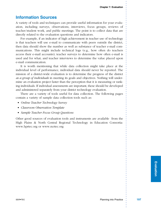## **Information Sources**

A variety of tools and techniques can provide useful information for your evaluation, including surveys, observations, interviews, focus groups, reviews of teacher/student work, and public meetings. The point is to collect data that are directly related to the evaluation questions and indicators.

For example, if an indicator of high achievement in teacher use of technology is that teachers will use e-mail to communicate with peers outside the district, then data should show the number as well as substance of teacher e-mail communications. This might include technical logs (e.g., how often do teachers access their e-mail accounts); teacher surveys to determine how often e-mail is used and for what; and teacher interviews to determine the value placed upon e-mail communication.

It is worth mentioning that while data collection might take place at the individual level of performance, individual data should never be reported. The mission of a district-wide evaluation is to determine the progress of the district *as a group of individuals* in meeting its goals and objectives. Nothing will undermine an evaluation project faster than the perception that it is measuring or ranking individuals. If individual assessments are important, these should be developed and administered separately from your district technology evaluation.

There are a variety of tools useful for data collection. The following pages contain a variety of sample data collection tools such as:

- **•** *Online Teacher Technology Survey*
- **•** *Classroom Observation Template*
- **•** *Sample Teacher Focus Group Questions*

Other good sources of evaluation tools and instruments are available from the High Plains & North Central Regional Technology in Education Consortia: www.hprtec.org or www.ncrtec.org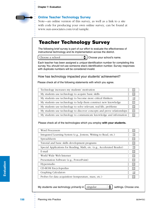

## **Online Teacher Technology Survey**

Note—an online version of this survey, as well as a link to a site with code for producing your own online survey, can be found at www.sun-associates.com/eval/sample.

## **Teacher Technology Survey**

The following brief survey is part of our effort to evaluate the effectiveness of instructional technology and its implementation across the district.

Choose a school

 $\div$ Choose your school's name.

Each teacher has been assigned a *unique* identification number for completing this survey. You should not use someone else's identification number. Survey responses with duplicate numbers will be considered invalid.

How has technology impacted your students' achievement?

Please check all of the following statements with which you agree.

| Technology increases my students' motivation                            |  |
|-------------------------------------------------------------------------|--|
| My students use technology to acquire basic skills                      |  |
| My students use technology to become more critical thinkers             |  |
| My students use technology to help them construct new knowledge         |  |
| My students use technology to solve relevant, real-life, problems       |  |
| My students use technology to discover concepts and prove relationships |  |
| My students use technology to communicate knowledge and information     |  |

Please check all of the technologies which you employ **with your students.**

| Word Processors                                                         |  |
|-------------------------------------------------------------------------|--|
| Integrated Learning System (e.g., Jostens, Writing to Read, etc.)       |  |
| Spreadsheets                                                            |  |
| Tutorial and basic skills development programs                          |  |
| Special Applications for Reading, Math, etc. (e.g., Accelerated Reader) |  |
| E-mail                                                                  |  |
| World Wide Web/Internet                                                 |  |
| Presentation Software (e.g., PowerPoint)                                |  |
| Hyperstudio                                                             |  |
| CD-ROM Encyclopedias                                                    |  |
| <b>Graphing Calculators</b>                                             |  |
| Probes for data acquisition (temperature, mass, etc.)                   |  |

My students use technology *primarily* in  $\left[ \sin \theta \right]$  settings. Choose one.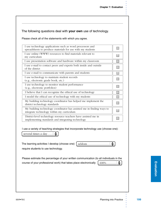$\bullet$ 

## The following questions deal with **your own** use of technology.

## Please check all of the statements with which you agree.

| I use technology applications such as word processors and<br>spreadsheets to produce materials for use with my students |   |
|-------------------------------------------------------------------------------------------------------------------------|---|
| I use online (WWW) resources to find materials relevant to<br>my curriculum                                             |   |
| I use presentation software and hardware within my classroom                                                            |   |
| I use e-mail to contact peers and experts both inside and outside<br>of the district                                    |   |
| I use e-mail to communicate with parents and students                                                                   |   |
| I use technology to maintain student records<br>(e.g., electronic grade book, etc.)                                     |   |
| I use technology to monitor student performance<br>(e.g., electronic portfolios)                                        |   |
| I believe that I can recognize the ethical use of technology                                                            |   |
| I model the ethical use of technology with my students                                                                  |   |
| My building technology coordinator has helped me implement the<br>district technology standards                         | ٠ |
| My building technology coordinator has assisted me in finding ways to<br>integrate technology within my curriculum      |   |
| District-level technology resource teachers have assisted me in<br>implementing standards and integrating technology    |   |
| I use a variety of teaching strategies that incorporate technology use (choose one):<br>several times a day             |   |
| seldom<br>The learning activities I develop (choose one)                                                                |   |
| require students to use technology.                                                                                     |   |
| Please estimate the percentage of your written communication (to all individuals in the                                 |   |
| course of your professional work) that takes place electronically<br>100%                                               |   |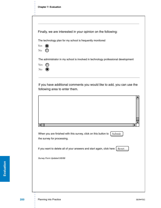Finally, we are interested in your opinion on the following:

The technology plan for my school is frequently monitored



The administrator in my school is involved in technology professional development



Г

If you have additional comments you would like to add, you can use the following area to enter them.

| When you are finished with this survey, click on this button to<br>Submit<br>the survey for processing. |  |
|---------------------------------------------------------------------------------------------------------|--|
| If you want to delete all of your answers and start again, click here<br>Reset                          |  |
| Survey Form Updated 9/9/99                                                                              |  |
|                                                                                                         |  |
|                                                                                                         |  |
|                                                                                                         |  |
|                                                                                                         |  |

 $\blacktriangle$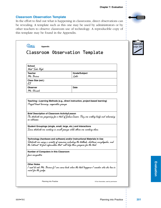

ö

## **Classroom Observation Template**

In the effort to find out what is happening in classrooms, direct observations can be revealing. A template such as this one may be used by administrators or by other teachers to observe classroom use of technology. A reproducible copy of this template may be found in the Appendix.

| <b>School</b><br>West Side High                                                                                      |                                                                                                                                                                                                                                                           |
|----------------------------------------------------------------------------------------------------------------------|-----------------------------------------------------------------------------------------------------------------------------------------------------------------------------------------------------------------------------------------------------------|
| <b>Teacher</b>                                                                                                       | Grade/Subject                                                                                                                                                                                                                                             |
| Ms. Burns                                                                                                            | Latin                                                                                                                                                                                                                                                     |
| Class Size (est.)<br>25                                                                                              |                                                                                                                                                                                                                                                           |
| <b>Observer</b>                                                                                                      | Date                                                                                                                                                                                                                                                      |
| Ms. Dimock                                                                                                           |                                                                                                                                                                                                                                                           |
|                                                                                                                      | Teaching-Learning Methods (e.g., direct instruction, project-based learning)<br>The students are preparing for a trial of Julius Caesar. They are writing briefs and rehearsing                                                                           |
|                                                                                                                      | Student Groupings (single, small, large, etc.) and Interactions<br>Some students are working in small groups while others are working alone.                                                                                                              |
| Project-based learning, cooperative groups<br><b>Brief Description of Classroom Activity/Lesson</b><br>as witnesses. | Technology (hardware and software) and/or Instructional Materials In Use<br>Students are using a variety of resources including the teatbook, electronic encyclopedia, and<br>the Internet to find information that will help them prepare for the trial. |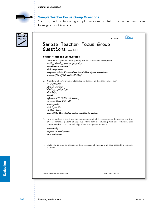

## **Sample Teacher Focus Group Questions**

You may find the following sample questions helpful in conducting your own focus groups of teachers.

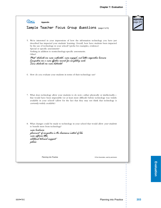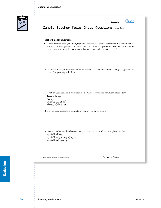

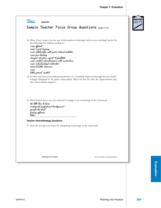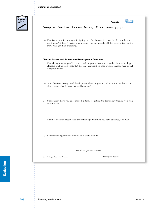

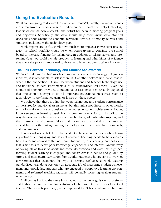## **Using the Evaluation Results**

What are you going to do with the evaluation results? Typically, evaluation results are summarized in end-of-year or end-of-project reports that help technology leaders determine how successful the district has been in meeting program goals and objectives. Specifically, the data should help them make data-informed decisions about whether to continue, terminate, refocus, or modify activities and strategies included in the technology plan.

While reports are useful, think how much more impact a PowerPoint presentation or school portfolio would be when you're trying to convince the school board to increase funding for technology. In addition to telling stories and presenting data, you could include products of learning and other kinds of evidence that make the program more real to those who have not been actively involved.

## **The Link Between Technology and Student Achievement**

When considering the findings from an evaluation of a technology integration initiative, it is reasonable to ask if there isn't another bottom line issue; that is, what is the connection—if any—between student and teacher technology use and traditional student assessments such as standardized test scores? Given the amount of attention provided to traditional assessments, it is certainly expected that one should attempt to tie all important educational initiatives, such as technology, to performance gains or losses on these scores.

We believe that there is a link between technology and student performance as measured by traditional assessments; but this link is not direct. In other words, technology alone is not responsible for increases in student achievement. Rather, improvements in learning result from a *combination* of factors, including the way the teacher teaches, ready access to technology, administrative support, and the classroom environment. More and more, we are realizing that another crucial factor is the linkage among technology use, the curriculum, standards, and assessments.

Educational research tells us that student achievement increases when learning activities are engaging and student-centered. Learning needs to be standards based, relevant, attuned to the individual student's style of learning, and holistic that is, tied to a student's prior knowledge, experience, and interests. Another way of saying all of this is to shorthand these descriptions and state that high-performing student learning is engaged and constructivist in nature and guided by strong and meaningful curriculum frameworks. Students who are able to work in environments that encourage this type of learning *will* achieve. While existing standardized tests do at best only an adequate job of measuring student achievement and knowledge, students who are engaged in supportive learning environments and reformed teaching practices will generally score higher than students who are not.

It all comes back to the same basic point, that technology is only a useful and in this case, we can say, impactful—tool when used in the hands of a skilled teacher. The issue is pedagogy, not computer skills. Schools where teachers are

SEIR◆TEC

**207**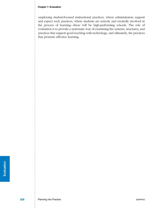#### **Chapter 7: Evaluation**

employing student-focused instructional practices, where administrators support and expect such practices, where students are actively and excitedly involved in the process of learning—these will be high-performing schools. The role of evaluation is to provide a systematic way of examining the systems, structures, and practices that support good teaching with technology, and ultimately, the practices that promote effective learning.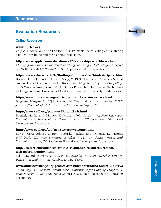## **Resources**

## **Evaluation Resources**

## **Online Resources**

#### **www.hprtec.org**

*Profiler–*a collection of on-line tools & instruments for collecting and analyzing data that can be helpful for planning evaluation.

## **http://www.apple.com/education/k12/leadership/acot/library.html**

*Changing the Conversation about Teaching, Learning & Technology—A Report on 10 Years of ACOT Research.* 1996. Apple Computer Corporation.

## **http://www.crito.uci.edu/lc/findings/ComputerUse/html/startpage.htm**

Becker, Henry J.; Ravitz, J.L.; and Wong, Y. 1999. Teacher and Teacher-Directed Student Use of Computers and Software. *Teaching, Learning, and Computing: 1998 National Survey. Report #3.* Center for Research on Information Technology and Organizations. University of California, Irvine and University of Minnesota.

## **http://serve-line.serve.org/seirtec/publications/storiesdata.html**

Bingham, Margaret H. 1999. Stories with Data and Data with Stories. *T.H.E. Journal (Technological Horizons in Education)* 26 (April): 20

#### **http://www.sedl.org/pubs/tec27/nonflash.html**

Boethel, Martha and Dimock, K.Victoria. 1999. *Constructing Knowledge with Technology: A Review of the Literature.* Austin, TX: Southwest Educational Development Laboratory.

## **http://www.sedl.org/tap/newsletters/welcome.html**

Burns, Mary; Adams, Sharon; Burniske, Jackie; and Dimock, K. Victoria. 1999–2000. *TAP into Learning: Briefing Papers on Constructivism and Technology.* Austin, TX: Southwest Educational Development Laboratory.

## **http://ra.terc.edu/alliance/TEMPLATE/alliance\_resources/reform/ tech-infusion/index.html**

Fulton, K. and Feldman, A., et al. 1995. *Technology Infusion and School Change. Perspectives and Practices.* Cambridge, MA: TERC.

#### **www.milkenexchange.org/projects.taf?\_function=detail&Content\_uid1=152**

*Technology in American Schools: Seven Dimensions for Gauging Progress—A Policymaker's Guide.* 1998. Santa Monica, CA. Milken Exchange on Education Technology.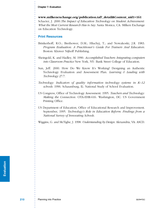**www.milkenexchange.org/publication.taf?\_detail&Content\_uid1=161** Schacter, J. 2000.*The Impact of Education Technology on Student Achievement: What the Most Current Research Has to Say.* Santa Monica, CA: Milken Exchange on Education Technology.

## **Print Resources**

- Brinkerhoff, R.O.; Brethower, D.M.; Hluchyj, T.; and Nowakoski, J.R. 1983. *Program Evaluation: A Practitioner's Guide For Trainers And Educators.* Boston: Kluwer Nijhoff Publishing.
- Sheingold, K. and Hadley, M. 1990. *Accomplished Teachers: Integrating computers into Classroom Practice* New York, NY: Bank Street College of Education.
- Sun, Jeff. 2000. How Do We Know It's Working? Designing an Authentic Technology Evaluation and Assessment Plan. *Learning & Leading with Technology* 27:7.
- *Technology: Indicators of quality information technology systems in K–12 schools.* 1996. Schaumburg, IL: National Study of School Evaluation.
- US Congress, Office of Technology Assessment. 1995. *Teachers and Technology: Making the Connection.* OTA-EHR-616. Washington, DC: US Government Printing Office.
- US Department of Education, Office of Educational Research and Improvement. September, 1995. *Technology's Role in Education Reform. Findings from a National Survey of Innovating Schools.*

Wiggins, G. and McTighe, J. 1998. *Understanding by Design.* Alexandria, VA: ASCD.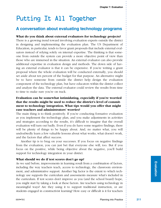## Putting It All Together

## **A conversation about evaluating technology programs**

## **What do you think about external evaluators for technology projects?**

There is a growing trend toward involving evaluation experts outside the district in designing and implementing the evaluation plan. The US Department of Education, in particular, tends to favor grant proposals that include external evaluators instead of relying solely on internal expertise. The thinking is that someone from outside the system can provide a more objective point of view than those who are immersed in the situation. An external evaluator can also provide additional expertise in evaluation design and methods. The down side of having an external evaluator is that it can be expensive. If you're writing a grant proposal where the whole evaluation will be conducted externally, you should set aside about ten percent of the budget for that purpose. An alternative might be to have someone from outside the district help design the evaluation component of the technology plan, but have educators within the district collect and analyze the data. The external evaluator could review the results from time to time to make sure you're on track.

## **Evaluation can be somewhat intimidating, especially if you're worried that the results might be used to reduce the district's level of commitment to technology integration. What tips would you offer that might ease teachers and administrators' worries?**

The main thing is to think positively. If you're conducting formative evaluation as you implement the technology plan, and you make adjustments in activities and strategies according to the results, it's difficult to imagine that the overall evaluation will turn out badly. Even if you do have some negative findings, there will be plenty of things to be happy about. And, no matter what, you will undoubtedly learn a few valuable lessons about what works, what doesn't work, and the factors that affect success.

Another tip is to brag on your successes. If you focus on negative findings from the evaluation, you can just bet that everyone else will, too. But if you focus on the positive, while being objective about the negative, you'll build support for technology integration in your district.

#### **What should we do if test scores don't go up?**

As we said before, improvements in learning result from a combination of factors, including the way teachers teach, access to technology, the classroom environment, and administrative support. Another big factor is the extent to which technology use supports the curriculum and assessments measure what's included in the curriculum. If test scores don't improve as you (and the school board) hope, you might start by taking a look at these factors. Are teachers using technology in meaningful ways? Are they using it to support traditional instruction, or are students engaged in constructivist learning? How easy or difficult is it for teachers